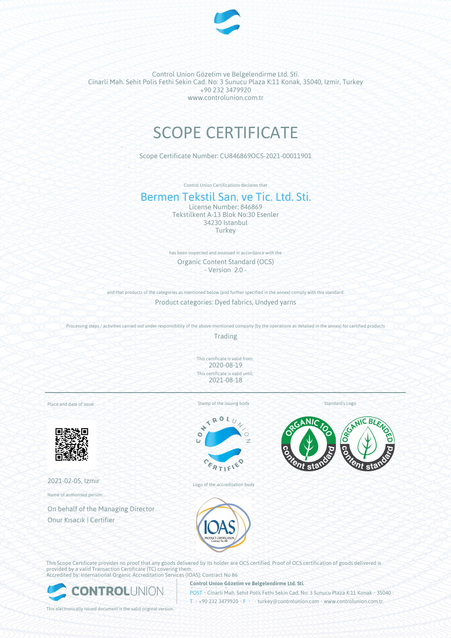

Control Union Gözetim ve Belgelendirme Ltd. Sti. Cinarli Mah. Sehit Polis Fethi Sekin Cad. No: 3 Sunucu Plaza K:11 Konak, 35040, Izmir, Turkey +90 232 3479920 www.controlunion.com.tr

## SCOPE CERTIFICATE

Scope Certificate Number: CU846869OCS-2021-00011901

Control Union Certifications declares that

## Bermen Tekstil San. ve Tic. Ltd. Sti.

License Number: 846869 Tekstilkent A-13 Blok No:30 Esenler 34230 Istanbul **Turkey** 

has been inspected and assessed in accordance with the Organic Content Standard (OCS) - Version 2.0 -

and that products of the categories as mentioned below (and further specified in the annex) comply with this standard:

Product categories: Dyed fabrics, Undyed yarns

Processing steps / activities carried out under responsibility of the above-mentioned company (by the operations as detailed in the annex) for certified products

Trading

This certificate is valid from: 2020-08-19 This certificate is valid until: 2021-08-18

Place and date of issue:



2021-02-05, Izmir

Name of authorised person:

On behalf of the Managing Director Onur Kısacık | Certifier

Stamp of the issuing body



Logo of the accreditation body

Standard's Logo





This Scope Certificate provides no proof that any goods delivered by its holder are OCS certified. Proof of OCS certification of goods delivered is provided by a valid Transaction Certificate (TC) covering them. Accredited by: International Organic Accreditation Services (IOAS); Contract No 86



**Control Union Gözetim ve Belgelendirme Ltd. Sti.**

POST • Cinarli Mah. Sehit Polis Fethi Sekin Cad. No: 3 Sunucu Plaza K:11 Konak • 35040 • T • +90 232 3479920 • F • • turkey@controlunion.com • www.controlunion.com.tr

This electronically issued document is the valid original version.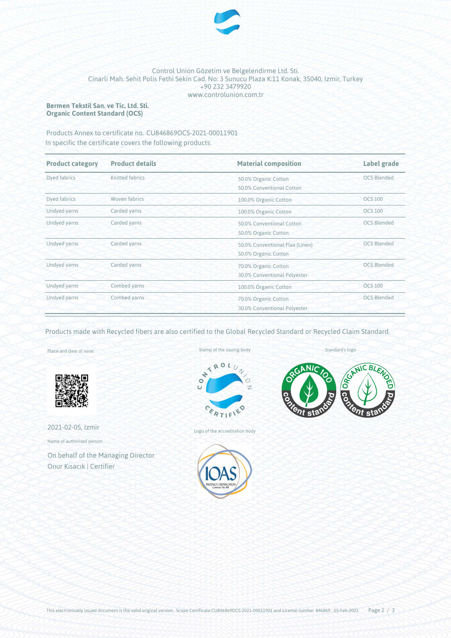

## Control Union Gözetim ve Belgelendirme Ltd. Sti. Cinarli Mah. Sehit Polis Fethi Sekin Cad. No: 3 Sunucu Plaza K:11 Konak, 35040, Izmir, Turkey +90 232 3479920 www.controlunion.com.tr

**Bermen Tekstil San. ve Tic. Ltd. Sti. Organic Content Standard (OCS)**

Products Annex to certificate no. CU846869OCS-2021-00011901 In specific the certificate covers the following products:

| <b>Product category</b> | <b>Material composition</b><br><b>Product details</b> |                                                                               | <b>Label grade</b> |  |
|-------------------------|-------------------------------------------------------|-------------------------------------------------------------------------------|--------------------|--|
| Dyed fabrics            | Knitted fabrics                                       | 50.0% Organic Cotton<br>50.0% Conventional Cotton                             | <b>OCS Blended</b> |  |
| Dyed fabrics            | Woven fabrics                                         | 100.0% Organic Cotton                                                         | <b>OCS 100</b>     |  |
| Undyed yarns            | Carded yarns                                          | 100.0% Organic Cotton                                                         | <b>OCS 100</b>     |  |
| Undyed yarns            | Carded yarns                                          | 50.0% Conventional Cotton<br>50.0% Organic Cotton                             | <b>OCS Blended</b> |  |
| Undyed yarns            | Carded yarns                                          | <b>OCS Blended</b><br>50.0% Conventional Flax (Linen)<br>50.0% Organic Cotton |                    |  |
| Undyed yarns            | Carded yarns                                          | <b>OCS Blended</b><br>70.0% Organic Cotton<br>30.0% Conventional Polyester    |                    |  |
| Undyed yarns            | Combed yarns                                          | <b>OCS 100</b><br>100.0% Organic Cotton                                       |                    |  |
| Undyed yarns            | Combed yarns                                          | <b>OCS Blended</b><br>70.0% Organic Cotton<br>30.0% Conventional Polyester    |                    |  |

Products made with Recycled fibers are also certified to the Global Recycled Standard or Recycled Claim Standard.

Place and date of issue:



2021-02-05, Izmir Name of authorised person:

On behalf of the Managing Director Onur Kısacık | Certifier

Stamp of the issuing body



Logo of the accreditation body



Standard's logo